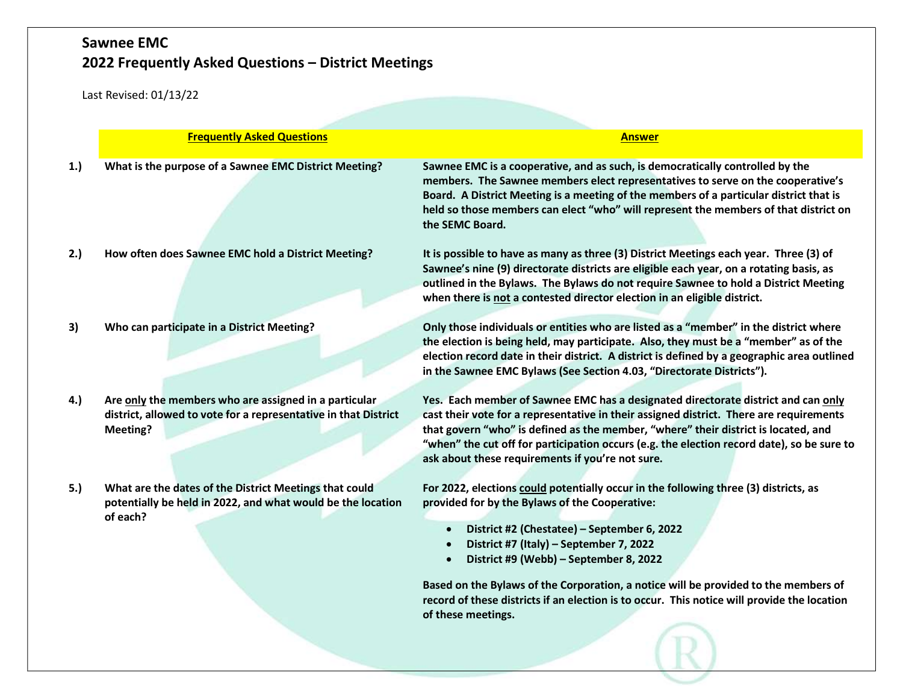|     | <b>Frequently Asked Questions</b>                                                                                                    | <b>Answer</b>                                                                                                                                                                                                                                                                                                                                                                                                                                                                          |  |  |
|-----|--------------------------------------------------------------------------------------------------------------------------------------|----------------------------------------------------------------------------------------------------------------------------------------------------------------------------------------------------------------------------------------------------------------------------------------------------------------------------------------------------------------------------------------------------------------------------------------------------------------------------------------|--|--|
| 1.  | What is the purpose of a Sawnee EMC District Meeting?                                                                                | Sawnee EMC is a cooperative, and as such, is democratically controlled by the<br>members. The Sawnee members elect representatives to serve on the cooperative's<br>Board. A District Meeting is a meeting of the members of a particular district that is<br>held so those members can elect "who" will represent the members of that district on<br>the SEMC Board.                                                                                                                  |  |  |
| 2.) | How often does Sawnee EMC hold a District Meeting?                                                                                   | It is possible to have as many as three (3) District Meetings each year. Three (3) of<br>Sawnee's nine (9) directorate districts are eligible each year, on a rotating basis, as<br>outlined in the Bylaws. The Bylaws do not require Sawnee to hold a District Meeting<br>when there is not a contested director election in an eligible district.                                                                                                                                    |  |  |
| 3)  | Who can participate in a District Meeting?                                                                                           | Only those individuals or entities who are listed as a "member" in the district where<br>the election is being held, may participate. Also, they must be a "member" as of the<br>election record date in their district. A district is defined by a geographic area outlined<br>in the Sawnee EMC Bylaws (See Section 4.03, "Directorate Districts").                                                                                                                                  |  |  |
| 4.) | Are only the members who are assigned in a particular<br>district, allowed to vote for a representative in that District<br>Meeting? | Yes. Each member of Sawnee EMC has a designated directorate district and can only<br>cast their vote for a representative in their assigned district. There are requirements<br>that govern "who" is defined as the member, "where" their district is located, and<br>"when" the cut off for participation occurs (e.g. the election record date), so be sure to<br>ask about these requirements if you're not sure.                                                                   |  |  |
| 5.) | What are the dates of the District Meetings that could<br>potentially be held in 2022, and what would be the location<br>of each?    | For 2022, elections could potentially occur in the following three (3) districts, as<br>provided for by the Bylaws of the Cooperative:<br>District #2 (Chestatee) - September 6, 2022<br>District #7 (Italy) - September 7, 2022<br>District #9 (Webb) - September 8, 2022<br>Based on the Bylaws of the Corporation, a notice will be provided to the members of<br>record of these districts if an election is to occur. This notice will provide the location<br>of these meetings. |  |  |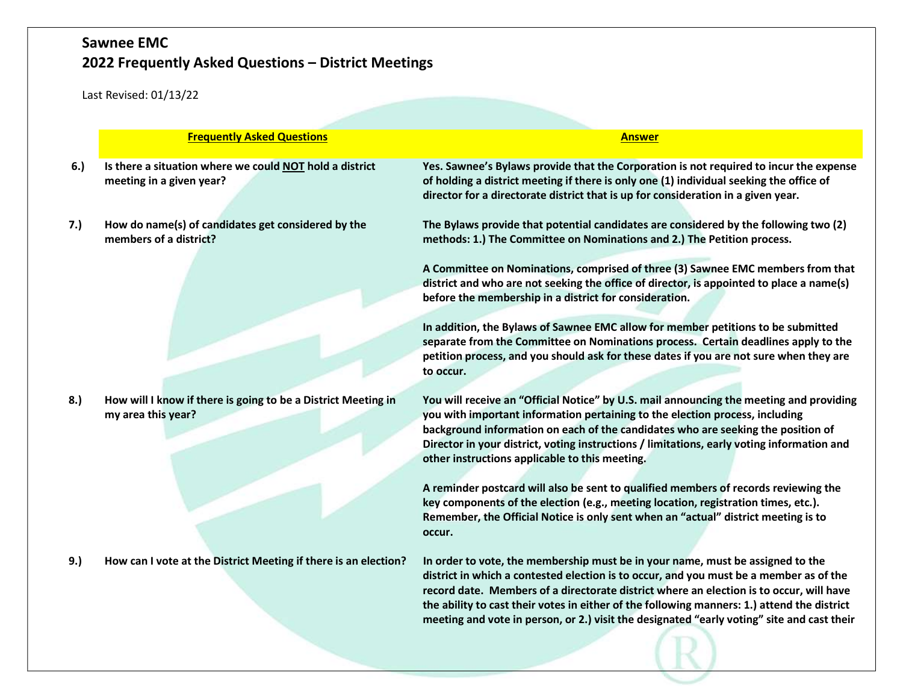|     | <b>Frequently Asked Questions</b>                                                   | <b>Answer</b>                                                                                                                                                                                                                                                                                                                                                                                                                                                    |  |  |  |
|-----|-------------------------------------------------------------------------------------|------------------------------------------------------------------------------------------------------------------------------------------------------------------------------------------------------------------------------------------------------------------------------------------------------------------------------------------------------------------------------------------------------------------------------------------------------------------|--|--|--|
| 6.) | Is there a situation where we could NOT hold a district<br>meeting in a given year? | Yes. Sawnee's Bylaws provide that the Corporation is not required to incur the expense<br>of holding a district meeting if there is only one (1) individual seeking the office of<br>director for a directorate district that is up for consideration in a given year.                                                                                                                                                                                           |  |  |  |
| 7.) | How do name(s) of candidates get considered by the<br>members of a district?        | The Bylaws provide that potential candidates are considered by the following two (2)<br>methods: 1.) The Committee on Nominations and 2.) The Petition process.                                                                                                                                                                                                                                                                                                  |  |  |  |
|     |                                                                                     | A Committee on Nominations, comprised of three (3) Sawnee EMC members from that<br>district and who are not seeking the office of director, is appointed to place a name(s)<br>before the membership in a district for consideration.                                                                                                                                                                                                                            |  |  |  |
|     |                                                                                     | In addition, the Bylaws of Sawnee EMC allow for member petitions to be submitted<br>separate from the Committee on Nominations process. Certain deadlines apply to the<br>petition process, and you should ask for these dates if you are not sure when they are<br>to occur.                                                                                                                                                                                    |  |  |  |
| 8.) | How will I know if there is going to be a District Meeting in<br>my area this year? | You will receive an "Official Notice" by U.S. mail announcing the meeting and providing<br>you with important information pertaining to the election process, including<br>background information on each of the candidates who are seeking the position of<br>Director in your district, voting instructions / limitations, early voting information and<br>other instructions applicable to this meeting.                                                      |  |  |  |
|     |                                                                                     | A reminder postcard will also be sent to qualified members of records reviewing the<br>key components of the election (e.g., meeting location, registration times, etc.).<br>Remember, the Official Notice is only sent when an "actual" district meeting is to<br>occur.                                                                                                                                                                                        |  |  |  |
| 9.) | How can I vote at the District Meeting if there is an election?                     | In order to vote, the membership must be in your name, must be assigned to the<br>district in which a contested election is to occur, and you must be a member as of the<br>record date. Members of a directorate district where an election is to occur, will have<br>the ability to cast their votes in either of the following manners: 1.) attend the district<br>meeting and vote in person, or 2.) visit the designated "early voting" site and cast their |  |  |  |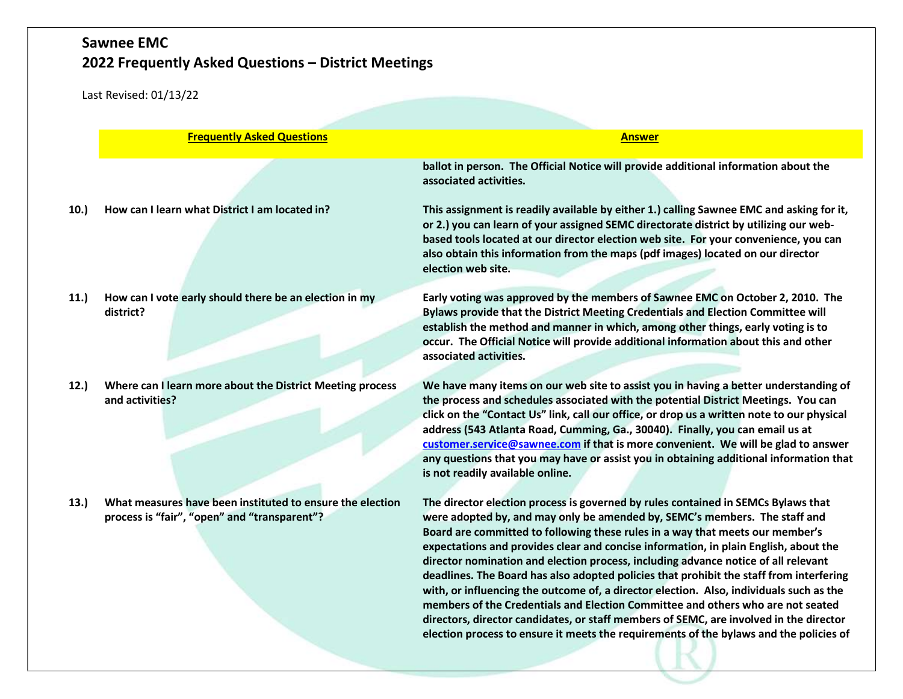|     | <b>Frequently Asked Questions</b>                                                                         | <b>Answer</b>                                                                                                                                                                                                                                                                                                                                                                                                                                                                                                                                                                                                                                                                                                                                                                                                                                                                               |  |  |  |
|-----|-----------------------------------------------------------------------------------------------------------|---------------------------------------------------------------------------------------------------------------------------------------------------------------------------------------------------------------------------------------------------------------------------------------------------------------------------------------------------------------------------------------------------------------------------------------------------------------------------------------------------------------------------------------------------------------------------------------------------------------------------------------------------------------------------------------------------------------------------------------------------------------------------------------------------------------------------------------------------------------------------------------------|--|--|--|
| 10. | How can I learn what District I am located in?                                                            | ballot in person. The Official Notice will provide additional information about the<br>associated activities.<br>This assignment is readily available by either 1.) calling Sawnee EMC and asking for it,<br>or 2.) you can learn of your assigned SEMC directorate district by utilizing our web-<br>based tools located at our director election web site. For your convenience, you can<br>also obtain this information from the maps (pdf images) located on our director<br>election web site.                                                                                                                                                                                                                                                                                                                                                                                         |  |  |  |
| 11. | How can I vote early should there be an election in my<br>district?                                       | Early voting was approved by the members of Sawnee EMC on October 2, 2010. The<br>Bylaws provide that the District Meeting Credentials and Election Committee will<br>establish the method and manner in which, among other things, early voting is to<br>occur. The Official Notice will provide additional information about this and other<br>associated activities.                                                                                                                                                                                                                                                                                                                                                                                                                                                                                                                     |  |  |  |
| 12. | Where can I learn more about the District Meeting process<br>and activities?                              | We have many items on our web site to assist you in having a better understanding of<br>the process and schedules associated with the potential District Meetings. You can<br>click on the "Contact Us" link, call our office, or drop us a written note to our physical<br>address (543 Atlanta Road, Cumming, Ga., 30040). Finally, you can email us at<br>customer.service@sawnee.com if that is more convenient. We will be glad to answer<br>any questions that you may have or assist you in obtaining additional information that<br>is not readily available online.                                                                                                                                                                                                                                                                                                                |  |  |  |
| 13. | What measures have been instituted to ensure the election<br>process is "fair", "open" and "transparent"? | The director election process is governed by rules contained in SEMCs Bylaws that<br>were adopted by, and may only be amended by, SEMC's members. The staff and<br>Board are committed to following these rules in a way that meets our member's<br>expectations and provides clear and concise information, in plain English, about the<br>director nomination and election process, including advance notice of all relevant<br>deadlines. The Board has also adopted policies that prohibit the staff from interfering<br>with, or influencing the outcome of, a director election. Also, individuals such as the<br>members of the Credentials and Election Committee and others who are not seated<br>directors, director candidates, or staff members of SEMC, are involved in the director<br>election process to ensure it meets the requirements of the bylaws and the policies of |  |  |  |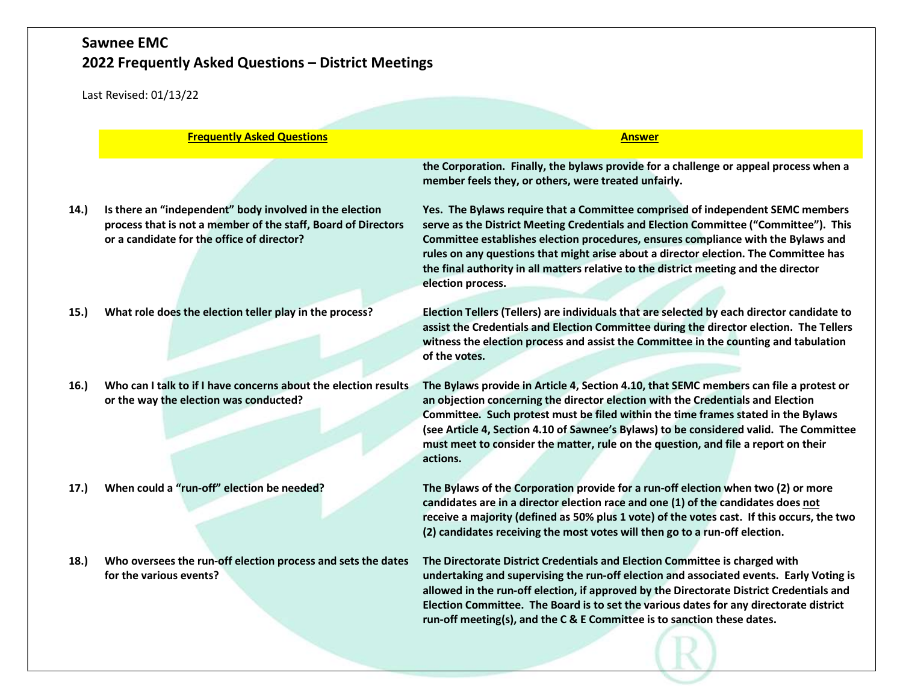Last Revised: 01/13/22

|      | <b>Frequently Asked Questions</b>                                                                                                                                      | <b>Answer</b>                                                                                                                                                                                                                                                                                                                                                                                                                                                    |
|------|------------------------------------------------------------------------------------------------------------------------------------------------------------------------|------------------------------------------------------------------------------------------------------------------------------------------------------------------------------------------------------------------------------------------------------------------------------------------------------------------------------------------------------------------------------------------------------------------------------------------------------------------|
|      |                                                                                                                                                                        | the Corporation. Finally, the bylaws provide for a challenge or appeal process when a<br>member feels they, or others, were treated unfairly.                                                                                                                                                                                                                                                                                                                    |
| 14.) | Is there an "independent" body involved in the election<br>process that is not a member of the staff, Board of Directors<br>or a candidate for the office of director? | Yes. The Bylaws require that a Committee comprised of independent SEMC members<br>serve as the District Meeting Credentials and Election Committee ("Committee"). This<br>Committee establishes election procedures, ensures compliance with the Bylaws and<br>rules on any questions that might arise about a director election. The Committee has<br>the final authority in all matters relative to the district meeting and the director<br>election process. |
| 15.) | What role does the election teller play in the process?                                                                                                                | Election Tellers (Tellers) are individuals that are selected by each director candidate to<br>assist the Credentials and Election Committee during the director election. The Tellers<br>witness the election process and assist the Committee in the counting and tabulation<br>of the votes.                                                                                                                                                                   |
| 16.) | Who can I talk to if I have concerns about the election results<br>or the way the election was conducted?                                                              | The Bylaws provide in Article 4, Section 4.10, that SEMC members can file a protest or<br>an objection concerning the director election with the Credentials and Election<br>Committee. Such protest must be filed within the time frames stated in the Bylaws<br>(see Article 4, Section 4.10 of Sawnee's Bylaws) to be considered valid. The Committee<br>must meet to consider the matter, rule on the question, and file a report on their<br>actions.       |
| 17.) | When could a "run-off" election be needed?                                                                                                                             | The Bylaws of the Corporation provide for a run-off election when two (2) or more<br>candidates are in a director election race and one (1) of the candidates does not<br>receive a majority (defined as 50% plus 1 vote) of the votes cast. If this occurs, the two<br>(2) candidates receiving the most votes will then go to a run-off election.                                                                                                              |
| 18.) | Who oversees the run-off election process and sets the dates<br>for the various events?                                                                                | The Directorate District Credentials and Election Committee is charged with<br>undertaking and supervising the run-off election and associated events. Early Voting is<br>allowed in the run-off election, if approved by the Directorate District Credentials and<br>Election Committee. The Board is to set the various dates for any directorate district                                                                                                     |

run-off meeting(s), and the C & E Committee is to sanction these dates.